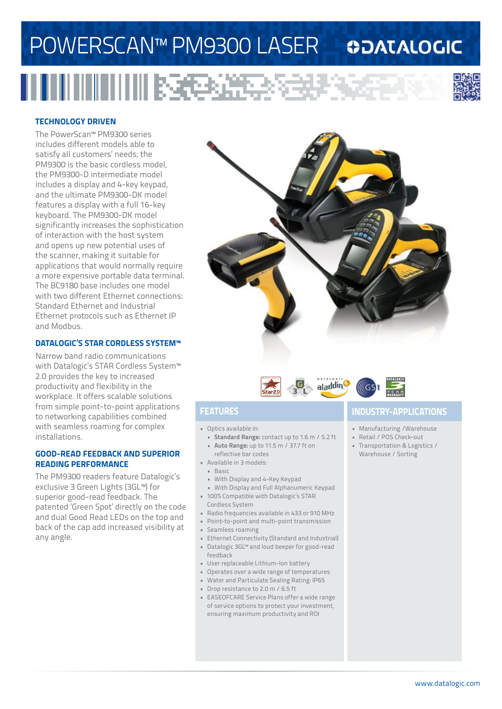## POWERSCAN™ PM9300 LASER

### **ODATALOGIC**

# 



#### **TECHNOLOGY DRIVEN**

The PowerScan™ PM9300 series includes different models able to satisfy all customers' needs; the PM9300 is the basic cordless model, the PM9300-D intermediate model includes a display and 4-key keypad, and the ultimate PM9300-DK model features a display with a full 16-key keyboard. The PM9300-DK model significantly increases the sophistication of interaction with the host system and opens up new potential uses of the scanner, making it suitable for applications that would normally require a more expensive portable data terminal. The BC9180 base includes one model with two different Ethernet connections: Standard Ethernet and Industrial Ethernet protocols such as Ethernet IP and Modbus.

#### **DATALOGIC'S STAR CORDLESS SYSTEM™**

Narrow band radio communications with Datalogic's STAR Cordless System™ 2.0 provides the key to increased productivity and flexibility in the workplace. It offers scalable solutions from simple point-to-point applications to networking capabilities combined with seamless roaming for complex installations.

#### **GOOD-READ FEEDBACK AND SUPERIOR READING PERFORMANCE**

The PM9300 readers feature Datalogic's exclusive 3 Green Lights (3GL™) for superior good-read feedback. The patented 'Green Spot' directly on the code and dual Good Read LEDs on the top and back of the cap add increased visibility at any angle.





- Optics available in:
- **• Standard Range:** contact up to 1.6 m / 5.2 ft **• Auto Range:** up to 11.5 m / 37.7 ft on
- reflective bar codes • Available in 3 models:
- Basic
- With Display and 4-Key Keypad
- With Display and Full Alphanumeric Keypad • 100% Compatible with Datalogic's STAR
- Cordless System
- Radio frequencies available in 433 or 910 MHz
- Point-to-point and multi-point transmission
- Seamless roaming
- Ethernet Connectivity (Standard and Industrial) • Datalogic 3GL™ and loud beeper for good-read
- feedback
- User replaceable Lithium-Ion battery
- Operates over a wide range of temperatures
- Water and Particulate Sealing Rating: IP65
- Drop resistance to 2.0 m / 6.5 ft
- EASEOFCARE Service Plans offer a wide range of service options to protect your investment, ensuring maximum productivity and ROI

### **FEATURES INDUSTRY-APPLICATIONS**

- Manufacturing /Warehouse
- Retail / POS Check-out
- Transportation & Logistics / Warehouse / Sorting